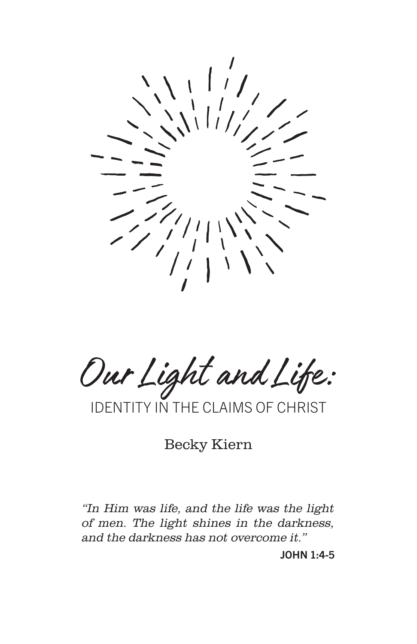

Our Light and Life:

IDENTITY IN THE CLAIMS OF CHRIST

Becky Kiern

"In Him was life, and the life was the light of men. The light shines in the darkness, and the darkness has not overcome it."

JOHN 1:4-5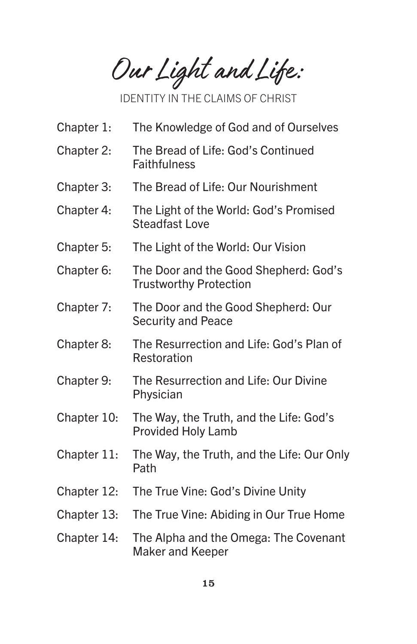Our Light and Life:

IDENTITY IN THE CLAIMS OF CHRIST

- Chapter 1: The Knowledge of God and of Ourselves
- Chapter 2: The Bread of Life: God's Continued **Faithfulness**
- Chapter 3: The Bread of Life: Our Nourishment
- Chapter 4: The Light of the World: God's Promised Steadfast Love
- Chapter 5: The Light of the World: Our Vision
- Chapter 6: The Door and the Good Shepherd: God's Trustworthy Protection
- Chapter 7: The Door and the Good Shepherd: Our Security and Peace
- Chapter 8: The Resurrection and Life: God's Plan of Restoration
- Chapter 9: The Resurrection and Life: Our Divine Physician
- Chapter 10: The Way, the Truth, and the Life: God's Provided Holy Lamb
- Chapter 11: The Way, the Truth, and the Life: Our Only Path
- Chapter 12: The True Vine: God's Divine Unity
- Chapter 13: The True Vine: Abiding in Our True Home
- Chapter 14: The Alpha and the Omega: The Covenant Maker and Keeper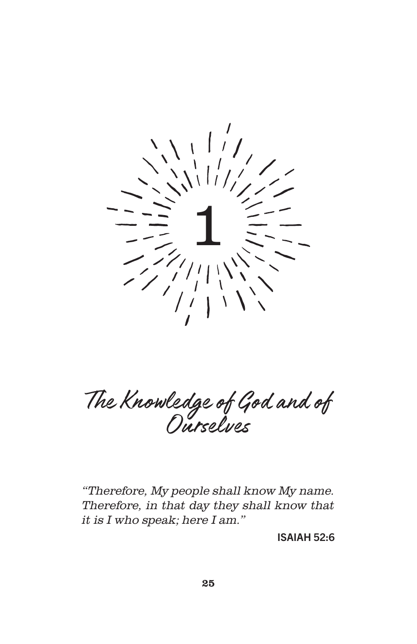

The Knowledge of God and of Ourselves

"Therefore, My people shall know My name. Therefore, in that day they shall know that it is I who speak; here I am."

ISAIAH 52:6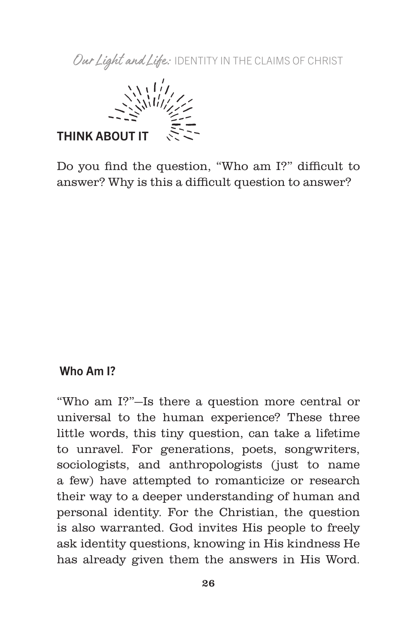

Do you find the question, "Who am I?" difficult to answer? Why is this a difficult question to answer?

## Who Am I?

"Who am I?"—Is there a question more central or universal to the human experience? These three little words, this tiny question, can take a lifetime to unravel. For generations, poets, songwriters, sociologists, and anthropologists (just to name a few) have attempted to romanticize or research their way to a deeper understanding of human and personal identity. For the Christian, the question is also warranted. God invites His people to freely ask identity questions, knowing in His kindness He has already given them the answers in His Word.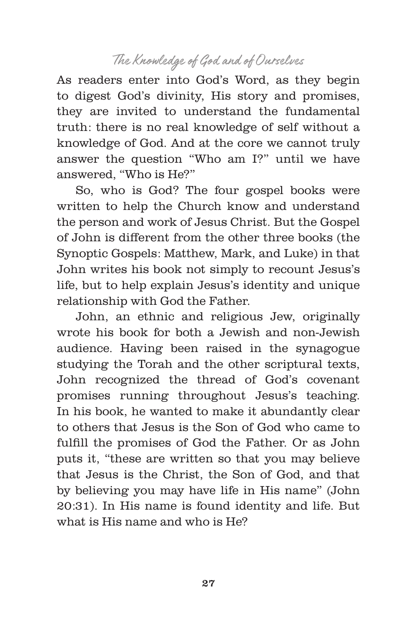As readers enter into God's Word, as they begin to digest God's divinity, His story and promises, they are invited to understand the fundamental truth: there is no real knowledge of self without a knowledge of God. And at the core we cannot truly answer the question "Who am I?" until we have answered, "Who is He?"

So, who is God? The four gospel books were written to help the Church know and understand the person and work of Jesus Christ. But the Gospel of John is different from the other three books (the Synoptic Gospels: Matthew, Mark, and Luke) in that John writes his book not simply to recount Jesus's life, but to help explain Jesus's identity and unique relationship with God the Father.

John, an ethnic and religious Jew, originally wrote his book for both a Jewish and non-Jewish audience. Having been raised in the synagogue studying the Torah and the other scriptural texts, John recognized the thread of God's covenant promises running throughout Jesus's teaching. In his book, he wanted to make it abundantly clear to others that Jesus is the Son of God who came to fulfill the promises of God the Father. Or as John puts it, "these are written so that you may believe that Jesus is the Christ, the Son of God, and that by believing you may have life in His name" (John 20:31). In His name is found identity and life. But what is His name and who is He?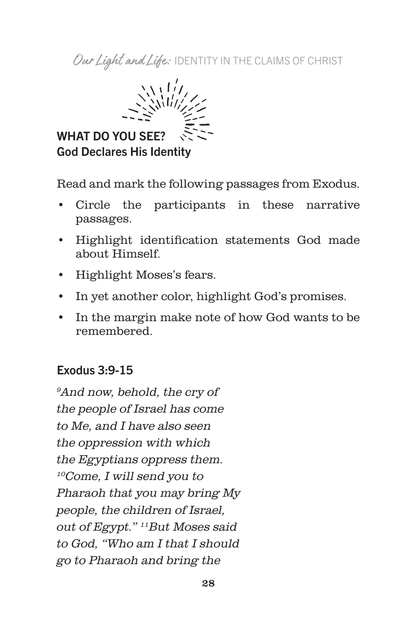

Read and mark the following passages from Exodus.

- Circle the participants in these narrative passages.
- Highlight identification statements God made about Himself.
- Highlight Moses's fears.
- In yet another color, highlight God's promises.
- In the margin make note of how God wants to be remembered.

## Exodus 3:9-15

<sup>9</sup>And now, behold, the cry of the people of Israel has come to Me, and I have also seen the oppression with which the Egyptians oppress them. 10Come, I will send you to Pharaoh that you may bring My people, the children of Israel, out of Egypt." <sup>11</sup>But Moses said to God, "Who am I that I should go to Pharaoh and bring the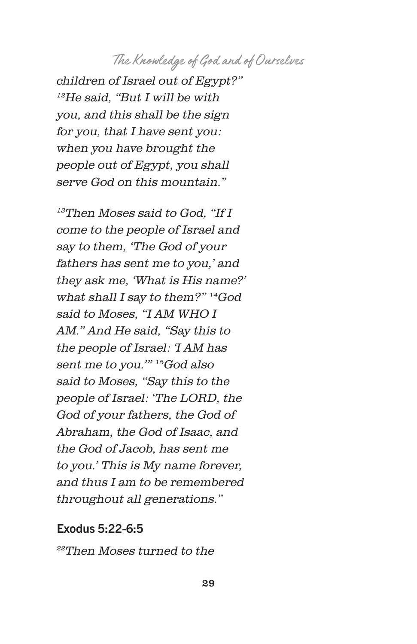children of Israel out of Egypt?"  $12He$  said, "But I will be with you, and this shall be the sign for you, that I have sent you: when you have brought the people out of Egypt, you shall serve God on this mountain."

13Then Moses said to God, "If I come to the people of Israel and say to them, 'The God of your fathers has sent me to you,' and they ask me, 'What is His name?' what shall I say to them?" 14God said to Moses, "I AM WHO I AM." And He said, "Say this to the people of Israel: 'I AM has sent me to you.'" 15God also said to Moses, "Say this to the people of Israel: 'The LORD, the God of your fathers, the God of Abraham, the God of Isaac, and the God of Jacob, has sent me to you.' This is My name forever, and thus I am to be remembered throughout all generations."

#### Exodus 5:22-6:5

22Then Moses turned to the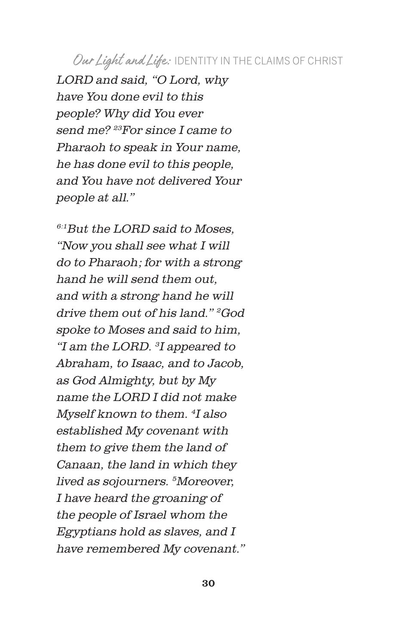LORD and said, "O Lord, why have You done evil to this people? Why did You ever send me? <sup>23</sup>For since I came to Pharaoh to speak in Your name, he has done evil to this people, and You have not delivered Your people at all."

 $6.1$ But the LORD said to Moses. "Now you shall see what I will do to Pharaoh; for with a strong hand he will send them out, and with a strong hand he will drive them out of his land." 2God spoke to Moses and said to him, "I am the LORD. <sup>3</sup>I appeared to Abraham, to Isaac, and to Jacob, as God Almighty, but by My name the LORD I did not make Myself known to them. <sup>4</sup>I also established My covenant with them to give them the land of Canaan, the land in which they lived as sojourners. <sup>5</sup>Moreover, I have heard the groaning of the people of Israel whom the Egyptians hold as slaves, and I have remembered My covenant."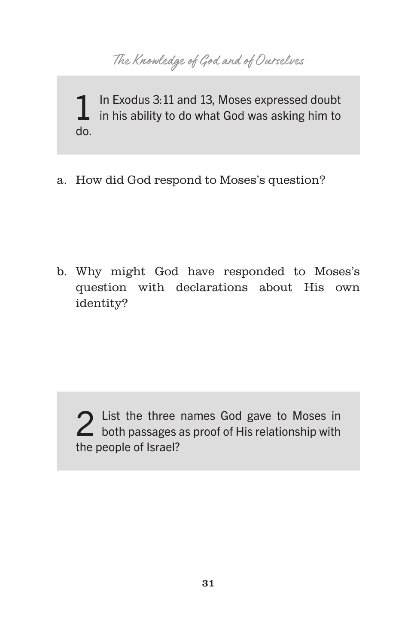The Knowledge of God and of Ourselves

1 In Exodus 3:11 and 13, Moses expressed doubt<br>in his ability to do what God was asking him to do.

a. How did God respond to Moses's question?

b. Why might God have responded to Moses's question with declarations about His own identity?

2 List the three names God gave to Moses in<br>
both passages as proof of His relationship with the people of Israel?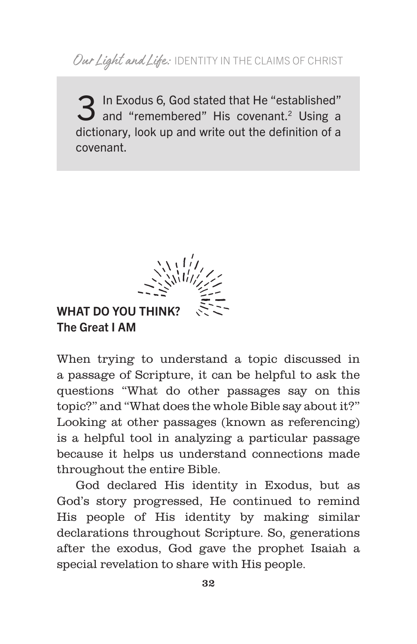3 In Exodus 6, God stated that He "established" and "remembered" His covenant.<sup>2</sup> Using a dictionary, look up and write out the definition of a covenant.



# WHAT DO YOU THINK? The Great I AM

When trying to understand a topic discussed in a passage of Scripture, it can be helpful to ask the questions "What do other passages say on this topic?" and "What does the whole Bible say about it?" Looking at other passages (known as referencing) is a helpful tool in analyzing a particular passage because it helps us understand connections made throughout the entire Bible.

God declared His identity in Exodus, but as God's story progressed, He continued to remind His people of His identity by making similar declarations throughout Scripture. So, generations after the exodus, God gave the prophet Isaiah a special revelation to share with His people.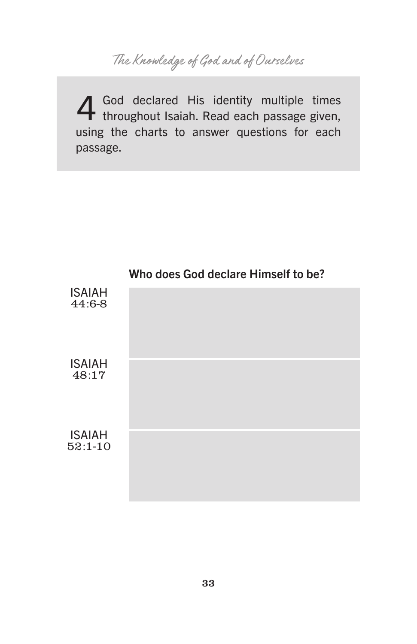4 God declared His identity multiple times throughout Isaiah. Read each passage given, using the charts to answer questions for each passage.

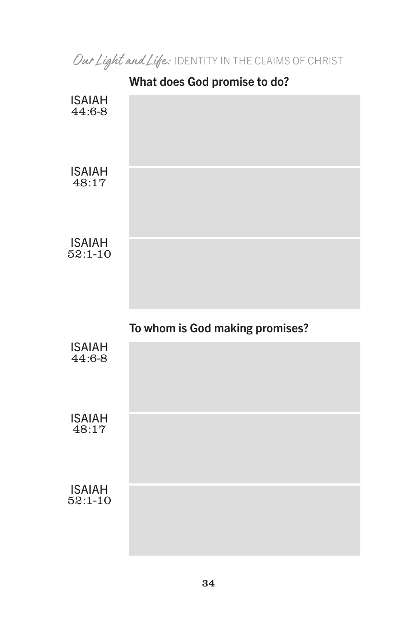|                            | What does God promise to do?    |
|----------------------------|---------------------------------|
| <b>ISAIAH</b><br>44:6-8    |                                 |
| <b>ISAIAH</b><br>48:17     |                                 |
| <b>ISAIAH</b><br>$52:1-10$ |                                 |
|                            |                                 |
|                            | To whom is God making promises? |
| <b>ISAIAH</b><br>44:6-8    |                                 |
| <b>ISAIAH</b><br>48:17     |                                 |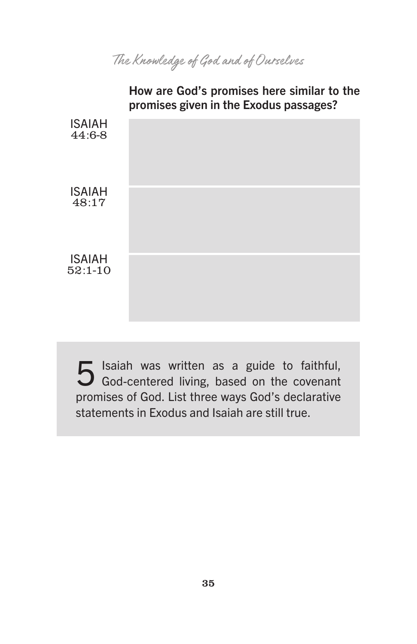How are God's promises here similar to the promises given in the Exodus passages? ISAIAH 44:6-8 ISAIAH 48:17 ISAIAH 52:1-10

 5 Isaiah was written as a guide to faithful, God-centered living, based on the covenant promises of God. List three ways God's declarative statements in Exodus and Isaiah are still true.

35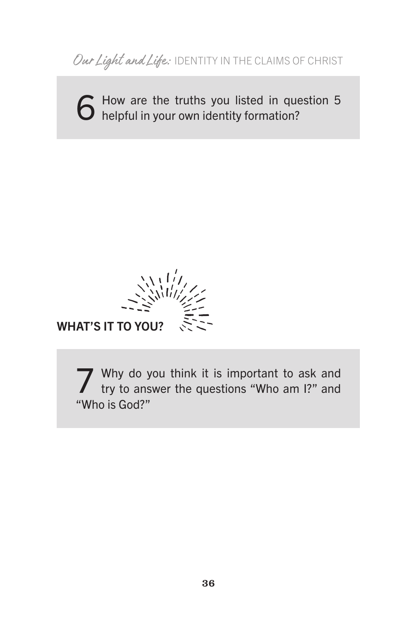6 How are the truths you listed in question 5<br>6 helpful in your own identity formation?

 $\langle\frac{1}{2}\rangle$ 

WHAT'S IT TO YOU?

Why do you think it is important to ask and try to answer the questions "Who am I?" and "Who is God?"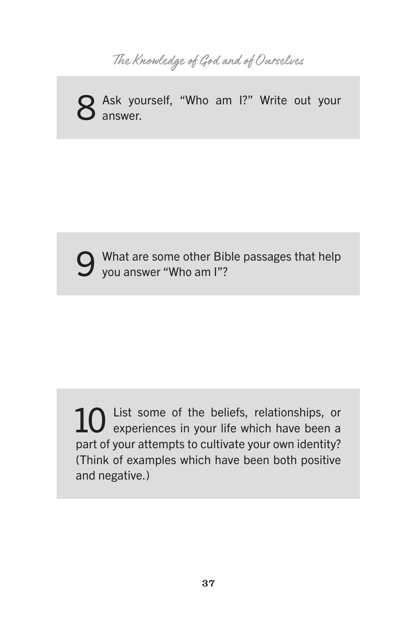

8 Ask yourself, "Who am I?" Write out your answer.

What are some other Bible passages that help you answer "Who am I"?

10 List some of the beliefs, relationships, or experiences in your life which have been a part of your attempts to cultivate your own identity? (Think of examples which have been both positive and negative.)